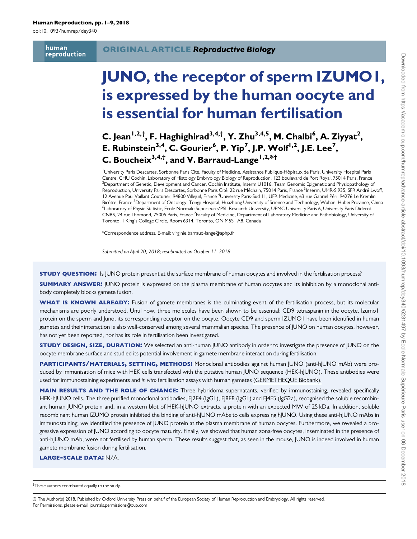doi:10.1093/humrep/dey340

human reproduction

#### ORIGINAL ARTICLE Reproductive Biology

# JUNO, the receptor of sperm IZUMO1, is expressed by the human oocyte and is essential for human fertilisation

# C. Jean  $^{1,2,\dagger}$ , F. Haghighirad $^{3,4,\dagger}$ , Y. Zhu $^{3,4,5}$ , M. Chalbi $^6$ , A. Ziyyat $^2$ , E. Rubinstein $^{3,4}$ , C. Gourier $^6$ , P. Yip $^7$ , J.P. Wolf $^{1,2}$ , J.E. Lee $^7$ , **C.** Boucheix $^{3,4,\dagger}$ , and V. Barraud-Lange  $^{1,2,*\dagger}$

<sup>1</sup>University Paris Descartes, Sorbonne Paris Cité, Faculty of Medicine, Assistance Publique-Hôpitaux de Paris, University Hospital Paris Centre, CHU Cochin, Laboratory of Histology Embryology Biology of Reproduction, 123 boulevard de Port Royal, 75014 Paris, France 2 Department of Genetic, Development and Cancer, Cochin Institute, Inserm U1016, Team Genomic Epigenetic and Physiopathology of Reproduction, University Paris Descartes, Sorbonne Paris Cité, 22 rue Méchain, 75014 Paris, France <sup>3</sup>Inserm, UMR-S 935, SFR André Lwoff, 12 Avenue Paul Vaillant Couturier, 94800 Villejuif, France <sup>4</sup>University Paris-Sud 11, UFR Medicine, 63 rue Gabriel Péri, 94276 Le Kremlin Bicêtre, France <sup>5</sup>Department of Oncology, Tongji Hospital, Huazhong University of Science and Technology, Wuhan, Hubei Province, China<br><sup>6</sup>1 aboratory of Physic Statistic, Ecole Normale Superieure (PSL Research University, <sup>6</sup>Laboratory of Physic Statistic, Ecole Normale Superieure/PSL Research University, UPMC University Paris 6, University Paris Diderot, CNRS, 24 rue Lhomond, 75005 Paris, France <sup>7</sup>Faculty of Medicine, Department of Laboratory Medicine and Pathobiology, University of Toronto, 1 King's College Circle, Room 6314, Toronto, ON M5S 1A8, Canada

\*Correspondence address. E-mail: virginie.barraud-lange@aphp.fr

Submitted on April 20, 2018; resubmitted on October 11, 2018

**STUDY QUESTION:** Is JUNO protein present at the surface membrane of human oocytes and involved in the fertilisation process?

SUMMARY ANSWER: JUNO protein is expressed on the plasma membrane of human oocytes and its inhibition by a monoclonal antibody completely blocks gamete fusion.

WHAT IS KNOWN ALREADY: Fusion of gamete membranes is the culminating event of the fertilisation process, but its molecular mechanisms are poorly understood. Until now, three molecules have been shown to be essential: CD9 tetraspanin in the oocyte, Izumo1 protein on the sperm and Juno, its corresponding receptor on the oocyte. Oocyte CD9 and sperm IZUMO1 have been identified in human gametes and their interaction is also well-conserved among several mammalian species. The presence of JUNO on human oocytes, however, has not yet been reported, nor has its role in fertilisation been investigated.

STUDY DESIGN, SIZE, DURATION: We selected an anti-human JUNO antibody in order to investigate the presence of JUNO on the oocyte membrane surface and studied its potential involvement in gamete membrane interaction during fertilisation.

PARTICIPANTS/MATERIALS, SETTING, METHODS: Monoclonal antibodies against human JUNO (anti-hJUNO mAb) were produced by immunisation of mice with HEK cells transfected with the putative human JUNO sequence (HEK-hJUNO). These antibodies were used for immunostaining experiments and in vitro fertilisation assays with human gametes (GERMETHEQUE Biobank).

MAIN RESULTS AND THE ROLE OF CHANCE: Three hybridoma supernatants, verified by immunostaining, revealed specifically HEK-hJUNO cells. The three purified monoclonal antibodies, F2E4 (IgG1), F3EB (IgG1) and F14F5 (IgG2a), recognised the soluble recombinant human JUNO protein and, in a western blot of HEK-hJUNO extracts, a protein with an expected MW of 25 kDa. In addition, soluble recombinant human IZUMO protein inhibited the binding of anti-hJUNO mAbs to cells expressing hJUNO. Using these anti-hJUNO mAbs in immunostaining, we identified the presence of JUNO protein at the plasma membrane of human oocytes. Furthermore, we revealed a progressive expression of JUNO according to oocyte maturity. Finally, we showed that human zona-free oocytes, inseminated in the presence of anti-hJUNO mAb, were not fertilised by human sperm. These results suggest that, as seen in the mouse, JUNO is indeed involved in human gamete membrane fusion during fertilisation.

LARGE-SCALE DATA: N/A.

<sup>†</sup> These authors contributed equally to the study.

<sup>©</sup> The Author(s) 2018. Published by Oxford University Press on behalf of the European Society of Human Reproduction and Embryology. All rights reserved. For Permissions, please e-mail: journals.permissions@oup.com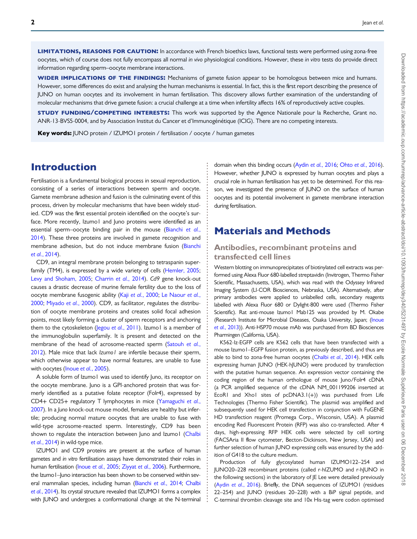LIMITATIONS, REASONS FOR CAUTION: In accordance with French bioethics laws, functional tests were performed using zona-free oocytes, which of course does not fully encompass all normal in vivo physiological conditions. However, these in vitro tests do provide direct information regarding sperm–oocyte membrane interactions.

WIDER IMPLICATIONS OF THE FINDINGS: Mechanisms of gamete fusion appear to be homologous between mice and humans. However, some differences do exist and analysing the human mechanisms is essential. In fact, this is the first report describing the presence of JUNO on human oocytes and its involvement in human fertilisation. This discovery allows further examination of the understanding of molecular mechanisms that drive gamete fusion: a crucial challenge at a time when infertility affects 16% of reproductively active couples.

**STUDY FUNDING/COMPETING INTERESTS:** This work was supported by the Agence Nationale pour la Recherche, Grant no. ANR-13-BVS5-0004, and by Association Institut du Cancer et d'Immunogénétique (ICIG). There are no competing interests.

Key words: JUNO protein / IZUMO1 protein / fertilisation / oocyte / human gametes

### Introduction

Fertilisation is a fundamental biological process in sexual reproduction, consisting of a series of interactions between sperm and oocyte. Gamete membrane adhesion and fusion is the culminating event of this process, driven by molecular mechanisms that have been widely studied. CD9 was the first essential protein identified on the oocyte's surface. More recently, Izumo1 and Juno proteins were identified as an essential sperm–oocyte binding pair in the mouse ([Bianchi](#page-8-0) et al., [2014](#page-8-0)). These three proteins are involved in gamete recognition and membrane adhesion, but do not induce membrane fusion ([Bianchi](#page-8-0) et al.[, 2014](#page-8-0)).

CD9, an integral membrane protein belonging to tetraspanin superfamily (TM4), is expressed by a wide variety of cells [\(Hemler, 2005;](#page-8-0) [Levy and Shoham, 2005;](#page-8-0) [Charrin](#page-8-0) et al., 2014). Cd9 gene knock-out causes a drastic decrease of murine female fertility due to the loss of oocyte membrane fusogenic ability (Kaji et al.[, 2000](#page-8-0); [Le Naour](#page-8-0) et al., [2000](#page-8-0); [Miyado](#page-8-0) et al., 2000). CD9, as facilitator, regulates the distribution of oocyte membrane proteins and creates solid focal adhesion points, most likely forming a cluster of sperm receptors and anchoring them to the cytoskeleton (Jegou et al.[, 2011\)](#page-8-0). Izumol is a member of the immunoglobulin superfamily. It is present and detected on the membrane of the head of acrosome-reacted sperm ([Satouh](#page-8-0) et al., [2012](#page-8-0)). Male mice that lack Izumo1 are infertile because their sperm, which otherwise appear to have normal features, are unable to fuse with oocytes (Inoue et al.[, 2005\)](#page-8-0).

A soluble form of Izumo1 was used to identify Juno, its receptor on the oocyte membrane. Juno is a GPI-anchored protein that was formerly identified as a putative folate receptor (Folr4), expressed by CD4+ CD25+ regulatory T lymphocytes in mice ([Yamaguchi](#page-8-0) et al., [2007](#page-8-0)). In a Juno knock-out mouse model, females are healthy but infertile; producing normal mature oocytes that are unable to fuse with wild-type acrosome-reacted sperm. Interestingly, CD9 has been shown to regulate the interaction between Juno and Izumol [\(Chalbi](#page-8-0) et al.[, 2014](#page-8-0)) in wild-type mice.

IZUMO1 and CD9 proteins are present at the surface of human gametes and in vitro fertilisation assays have demonstrated their roles in human fertilisation (Inoue et al.[, 2005](#page-8-0); Ziyyat et al.[, 2006](#page-8-0)). Furthermore, the Izumo1–Juno interaction has been shown to be conserved within several mammalian species, including human [\(Bianchi](#page-8-0) et al., 2014; [Chalbi](#page-8-0) et al.[, 2014\)](#page-8-0). Its crystal structure revealed that IZUMO1 forms a complex with JUNO and undergoes a conformational change at the N-terminal

domain when this binding occurs (Aydin et al.[, 2016;](#page-8-0) Ohto et al.[, 2016](#page-8-0)). However, whether JUNO is expressed by human oocytes and plays a crucial role in human fertilisation has yet to be determined. For this reason, we investigated the presence of JUNO on the surface of human oocytes and its potential involvement in gamete membrane interaction during fertilisation.

### Materials and Methods

#### Antibodies, recombinant proteins and transfected cell lines

Western blotting on immunoprecipitates of biotinylated cell extracts was performed using Alexa Fluor 680-labelled streptavidin (Invitrogen, Thermo Fisher Scientific, Massachusetts, USA), which was read with the Odyssey Infrared Imaging System (LI-COR Biosciences, Nebraska, USA). Alternatively, after primary antibodies were applied to unlabelled cells, secondary reagents labelled with Alexa Fluor 680 or Dylight-800 were used (Thermo Fisher Scientific). Rat anti-mouse Izumo1 Mab125 was provided by M. Okabe (Research Institute for Microbial Diseases, Osaka University, Japan; ([Inoue](#page-8-0) et al.[, 2013](#page-8-0))). Anti-HSP70 mouse mAb was purchased from BD Biosciences Pharmingen (California, USA).

K562-Iz-EGFP cells are K562 cells that have been transfected with a mouse Izumo1–EGFP fusion protein, as previously described, and thus are able to bind to zona-free human oocytes (Chalbi et al.[, 2014](#page-8-0)). HEK cells expressing human JUNO (HEK-hJUNO) were produced by transfection with the putative human sequence. An expression vector containing the coding region of the human orthologue of mouse Juno/Folr4 cDNA (a PCR amplified sequence of the cDNA NM\_001199206 inserted at EcoR1 and Xho1 sites of  $pcDNA3.1(+)$  was purchased from Life Technologies (Thermo Fisher Scientific). The plasmid was amplified and subsequently used for HEK cell transfection in conjunction with FuGENE HD transfection reagent (Promega Corp., Wisconsin, USA). A plasmid encoding Red Fluorescent Protein (RFP) was also co-transfected. After 4 days, high-expressing RFP HEK cells were selected by cell sorting (FACSAria II flow cytometer, Becton-Dickinson, New Jersey, USA) and further selection of human JUNO expressing cells was ensured by the addition of G418 to the culture medium.

Production of fully glycosylated human IZUMO122–254 and JUNO20–228 recombinant proteins (called r-hIZUMO and r-hJUNO in the following sections) in the laboratory of JE Lee were detailed previously (Aydin et al.[, 2016\)](#page-8-0). Briefly, the DNA sequences of IZUMO1 (residues 22–254) and JUNO (residues 20–228) with a BiP signal peptide, and C-terminal thrombin cleavage site and 10x His-tag were codon optimised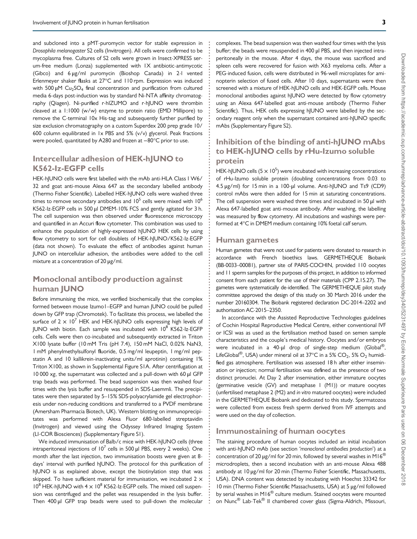and subcloned into a pMT-puromycin vector for stable expression in Drosophila melanogaster S2 cells (Invitrogen). All cells were confirmed to be mycoplasma free. Cultures of S2 cells were grown in Insect-XPRESS serum-free medium (Lonza) supplemented with 1X antibiotic-antimycotic (Gibco) and 6 μg/ml puromycin (Bioshop Canada) in 2-l vented Erlenmeyer shaker flasks at 27°C and 110 rpm. Expression was induced with 500  $\mu$ M Cu<sub>2</sub>SO<sub>4</sub> final concentration and purification from cultured media 6-days post-induction was by standard Ni-NTA affinity chromatography (Qiagen). Ni-purified r-hIZUMO and r-hJUNO were thrombin cleaved at a 1:1000 (w/w) enzyme to protein ratio (EMD Millipore) to remove the C-terminal 10x His-tag and subsequently further purified by size exclusion chromatography on a custom Superdex 200 prep grade 10/ 600 column equilibrated in 1x PBS and 5% (v/v) glycerol. Peak fractions were pooled, quantitated by A280 and frozen at −80°C prior to use.

#### Intercellular adhesion of HEK-hJUNO to K562-Iz-EGFP cells

HEK-hJUNO cells were first labelled with the mAb anti-HLA Class I W6/ 32 and goat anti-mouse Alexa 647 as the secondary labelled antibody (Thermo Fisher Scientific). Labelled HEK-hJUNO cells were washed three times to remove secondary antibodies and  $10^5$  cells were mixed with  $10^6$ K562-Iz-EGFP cells in 500 μl DMEM-10% FCS and gently agitated for 3 h. The cell suspension was then observed under fluorescence microscopy and quantified in an Accuri flow cytometer. This combination was used to enhance the population of highly-expressed hJUNO HEK cells by using flow cytometry to sort for cell doublets of HEK-hJUNO/K562-Iz-EGFP (data not shown). To evaluate the effect of antibodies against human JUNO on intercellular adhesion, the antibodies were added to the cell mixture at a concentration of 20 μg/ml.

#### Monoclonal antibody production against human JUNO

Before immunising the mice, we verified biochemically that the complex formed between mouse Izumo1–EGFP and human JUNO could be pulled down by GFP trap (Chromotek). To facilitate this process, we labelled the surface of  $2 \times 10^7$  HEK and HEK-hJUNO cells expressing high levels of JUNO with biotin. Each sample was incubated with 10<sup>8</sup> K562-Iz-EGFP cells. Cells were then co-incubated and subsequently extracted in Triton X100 lysate buffer (10 mM Tris (pH 7.4), 150 mM NaCl, 0.02% NaN3, 1 mM phenylmethylsulfonyl fluoride, 0.5 mg/ml leupeptin, 1 mg/ml pepstatin A and 10 kallikrein-inactivating units/ml aprotinin) containing 1% Triton X100, as shown in Supplemental Figure S1A. After centrifugation at 10 000 xg, the supernatant was collected and a pull-down with 60 μl GFP trap beads was performed. The bead suspension was then washed four times with the lysis buffer and resuspended in SDS-Laemmli. The precipitates were then separated by 5–15% SDS-polyacrylamide gel electrophoresis under non-reducing conditions and transferred to a PVDF membrane (Amersham Pharmacia Biotech, UK). Western blotting on immunoprecipitates was performed with Alexa Fluor 680-labelled streptavidin (Invitrogen) and viewed using the Odyssey Infrared Imaging System (LI-COR Biosciences) (Supplementary Figure S1).

We induced immunisation of Balb/c mice with HEK-hJUNO cells (three intraperitoneal injections of  $10^7$  cells in 500 μl PBS, every 2 weeks). One month after the last injection, two immunisation boosts were given at 8 days' interval with purified hJUNO. The protocol for this purification of hJUNO is as explained above, except the biotinylation step that was skipped. To have sufficient material for immunisation, we incubated  $2 \times$  $10^8$  HEK-hJUNO with 4  $\times$  10<sup>8</sup> K562-Iz-EGFP cells. The mixed cell suspension was centrifuged and the pellet was resuspended in the lysis buffer. Then 400 μl GFP trap beads were used to pull-down the molecular

complexes. The bead suspension was then washed four times with the lysis buffer; the beads were resuspended in 400 μl PBS, and then injected intraperitoneally in the mouse. After 4 days, the mouse was sacrificed and spleen cells were recovered for fusion with X63 myeloma cells. After a PEG-induced fusion, cells were distributed in 96-well microplates for aminopterin selection of fused cells. After 10 days, supernatants were then screened with a mixture of HEK-hJUNO cells and HEK-EGFP cells. Mouse monoclonal antibodies against hJUNO were detected by flow cytometry using an Alexa 647-labelled goat anti-mouse antibody (Thermo Fisher Scientific). Thus, HEK cells expressing hJUNO were labelled by the secondary reagent only when the supernatant contained anti-hJUNO specific mAbs (Supplementary Figure S2).

### Inhibition of the binding of anti-hJUNO mAbs to HEK-hJUNO cells by rHu-Izumo soluble protein

HEK-hJUNO cells  $(5 \times 10^5)$  were incubated with increasing concentrations of rHu-Izumo soluble protein (doubling concentrations from 0.03 to 4.5 μg/ml) for 15 min in a 100-μl volume. Anti-hJUNO and Ts9 (CD9) control mAbs were then added for 15 min at saturating concentrations. The cell suspension were washed three times and incubated in 50 μl with Alexa 647-labelled goat anti-mouse antibody. After washing, the labelling was measured by flow cytometry. All incubations and washings were performed at 4°C in DMEM medium containing 10% foetal calf serum.

#### Human gametes

Human gametes that were not used for patients were donated to research in accordance with French bioethics laws. GERMETHEQUE Biobank (BB-0033–00081), partner site of PARIS-COCHIN, provided 110 oocytes and 11 sperm samples for the purposes of this project, in addition to informed consent from each patient for the use of their materials (CPP 2.15.27). The gametes were systematically de-identified. The GERMETHEQUE pilot study committee approved the design of this study on 30 March 2016 under the number 20160304. The Biobank registered declaration DC-2014–2202 and authorisation AC-2015–2350.

In accordance with the Assisted Reproductive Technologies guidelines of Cochin Hospital Reproductive Medical Centre, either conventional IVF or ICSI was as used as the fertilisation method based on semen sample characteristics and the couple's medical history. Oocytes and/or embryos were incubated in a 40-μl drop of single-step medium (Global®, LifeGlobal<sup>®</sup>, USA) under mineral oil at 37°C in a 5% CO<sub>2</sub>, 5% O<sub>2</sub> humidified gas atmosphere. Fertilisation was assessed 18 h after either insemination or injection; normal fertilisation was defined as the presence of two distinct pronuclei. At Day 2 after insemination, either immature oocytes (germinative vesicle (GV) and metaphase 1 (M1)) or mature oocytes (unfertilised metaphase 2 (M2) and in vitro matured oocytes) were included in the GERMETHEQUE Biobank and dedicated to this study. Spermatozoa were collected from excess fresh sperm derived from IVF attempts and were used on the day of collection.

#### Immunostaining of human oocytes

The staining procedure of human oocytes included an initial incubation with anti-hJUNO mAb (see section 'monoclonal antibodies production') at a concentration of 20 μg/ml for 20 min, followed by several washes in M16<sup>®</sup> microdroplets, then a second incubation with an anti-mouse Alexa 488 antibody at 10 μg/ml for 20 min (Thermo Fisher Scientific, Massachusetts, USA). DNA content was detected by incubating with Hoechst 33342 for 10 min (Thermo Fisher Scientific Massachusetts, USA) at 5 μg/ml followed by serial washes in M16<sup>®</sup> culture medium. Stained oocytes were mounted on Nunc® Lab-Tek® II chambered cover glass (Sigma-Aldrich, Missouri,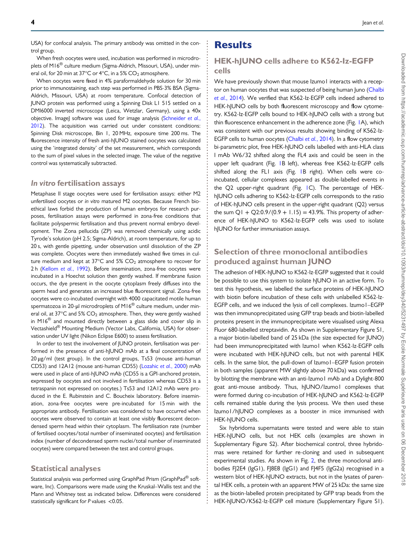USA) for confocal analysis. The primary antibody was omitted in the control group.

When fresh oocytes were used, incubation was performed in microdroplets of M16® culture medium (Sigma-Aldrich, Missouri, USA), under mineral oil, for 20 min at 37°C or 4°C, in a 5%  $CO<sub>2</sub>$  atmosphere.

When oocytes were fixed in 4% paraformaldehyde solution for 30 min prior to immunostaining, each step was performed in PBS-3% BSA (Sigma-Aldrich, Missouri, USA) at room temperature. Confocal detection of JUNO protein was performed using a Spinning Disk L1 515 settled on a DMI6000 inverted microscope (Leica, Wetzlar, Germany), using a 40x objective. ImageJ software was used for image analysis ([Schneider](#page-8-0) et al., [2012](#page-8-0)). The acquisition was carried out under consistent conditions: Spinning Disk microscope, Bin 1, 20 MHz, exposure time 200 ms. The fluorescence intensity of fresh anti-hJUNO stained oocytes was calculated using the 'integrated density' of the set measurement, which corresponds to the sum of pixel values in the selected image. The value of the negative control was systematically subtracted.

#### In vitro fertilisation assays

Metaphase II stage oocytes were used for fertilisation assays: either M2 unfertilised oocytes or in vitro matured M2 oocytes. Because French bioethical laws forbid the production of human embryos for research purposes, fertilisation assays were performed in zona-free conditions that facilitate polyspermic fertilisation and thus prevent normal embryo development. The Zona pellucida (ZP) was removed chemically using acidic Tyrode's solution (pH 2.5; Sigma-Aldrich), at room temperature, for up to 20 s, with gentle pipetting, under observation until dissolution of the ZP was complete. Oocytes were then immediately washed five times in culture medium and kept at  $37^{\circ}$ C and  $5\%$  CO<sub>2</sub> atmosphere to recover for 2h ([Kellom](#page-8-0) et al., 1992). Before insemination, zona-free oocytes were incubated in a Hoechst solution then gently washed. If membrane fusion occurs, the dye present in the oocyte cytoplasm freely diffuses into the sperm head and generates an increased blue fluorescent signal. Zona-free oocytes were co-incubated overnight with 4000 capacitated motile human spermatozoa in 20-μl microdroplets of M16® culture medium, under mineral oil, at 37°C and 5% CO<sub>2</sub> atmosphere. Then, they were gently washed in M16 $^{(8)}$  and mounted directly between a glass slide and cover slip in Vectashield® Mounting Medium (Vector Labs, California, USA) for observation under UV light (Nikon Eclipse E600) to assess fertilisation.

In order to test the involvement of JUNO protein, fertilisation was performed in the presence of anti-hJUNO mAb at a final concentration of 20 μg/ml (test group). In the control groups, Ts53 (mouse anti-human CD53) and 12A12 (mouse anti-human CD55) ([Lozahic](#page-8-0) et al., 2000) mAb were used in place of anti-hJUNO mAb (CD55 is a GPI-anchored protein, expressed by oocytes and not involved in fertilisation whereas CD53 is a tetraspanin not expressed on oocytes.) Ts53 and 12A12 mAb were produced in the E. Rubinstein and C. Boucheix laboratory. Before insemination, zona-free oocytes were pre-incubated for 15 min with the appropriate antibody. Fertilisation was considered to have occurred when oocytes were observed to contain at least one visibly fluorescent decondensed sperm head within their cytoplasm. The fertilisation rate (number of fertilised oocytes/total number of inseminated oocytes) and fertilisation index (number of decondensed sperm nuclei/total number of inseminated oocytes) were compared between the test and control groups.

#### Statistical analyses

Statistical analysis was performed using GraphPad Prism (GraphPad® software, Inc). Comparisons were made using the Kruskal–Wallis test and the Mann and Whitney test as indicated below. Differences were considered statistically significant for P values <0.05.

# **Results**

#### HEK-hJUNO cells adhere to K562-Iz-EGFP cells

We have previously shown that mouse Izumo1 interacts with a receptor on human oocytes that was suspected of being human Juno [\(Chalbi](#page-8-0) et al.[, 2014](#page-8-0)). We verified that K562-Iz-EGFP cells indeed adhered to HEK-hJUNO cells by both fluorescent microscopy and flow cytometry. K562-Iz-EGFP cells bound to HEK-hJUNO cells with a strong but thin fluorescence enhancement in the adherence zone (Fig. [1](#page-4-0)A), which was consistent with our previous results showing binding of K562-Iz-EGFP cells to human oocytes [\(Chalbi](#page-8-0) et al., 2014). In a flow cytometry bi-parametric plot, free HEK-hJUNO cells labelled with anti-HLA class I mAb W6/32 shifted along the FL4 axis and could be seen in the upper left quadrant (Fig. [1](#page-4-0)B left), whereas free K562-Iz-EGFP cells shifted along the FL1 axis (Fig. [1B](#page-4-0) right). When cells were coincubated, cellular complexes appeared as double-labelled events in the Q2 upper-right quadrant (Fig. [1C](#page-4-0)). The percentage of HEKhJUNO cells adhering to K562-Iz-EGFP cells corresponds to the ratio of HEK-hJUNO cells present in the upper-right quadrant (Q2) versus the sum Q1 + Q2:0.9/(0.9 + 1.15) = 43.9%. This property of adherence of HEK-hJUNO to K562-Iz-EGFP cells was used to isolate hJUNO for further immunisation assays.

#### Selection of three monoclonal antibodies produced against human JUNO

The adhesion of HEK-hJUNO to K562-Iz-EGFP suggested that it could be possible to use this system to isolate hJUNO in an active form. To test this hypothesis, we labelled the surface proteins of HEK-hJUNO with biotin before incubation of these cells with unlabelled K562-Iz-EGFP cells, and we induced the lysis of cell complexes. Izumo1–EGFP was then immunoprecipitated using GFP trap beads and biotin-labelled proteins present in the immunoprecipitate were visualised using Alexa Fluor 680-labelled streptavidin. As shown in Supplementary Figure S1, a major biotin-labelled band of 25 kDa (the size expected for JUNO) had been immunoprecipitated with Izumo1 when K562-Iz-EGFP cells were incubated with HEK-hJUNO cells, but not with parental HEK cells. In the same blot, the pull-down of Izumo1–EGFP fusion protein in both samples (apparent MW slightly above 70 kDa) was confirmed by blotting the membrane with an anti-Izumo1 mAb and a Dylight-800 goat anti-mouse antibody. Thus, hJUNO/Izumo1 complexes that were formed during co-incubation of HEK-h|UNO and K562-Iz-EGFP cells remained stable during the lysis process. We then used these Izumo1/hJUNO complexes as a booster in mice immunised with HEK-hJUNO cells.

Six hybridoma supernatants were tested and were able to stain HEK-hJUNO cells, but not HEK cells (examples are shown in Supplementary Figure S2). After biochemical control, three hybridomas were retained for further re-cloning and used in subsequent experimental studies. As shown in Fig. [2,](#page-5-0) the three monoclonal antibodies FJ2E4 (IgG1), FJ8E8 (IgG1) and FJ4F5 (IgG2a) recognised in a western blot of HEK-hJUNO extracts, but not in the lysates of parental HEK cells, a protein with an apparent MW of 25 kDa: the same size as the biotin-labelled protein precipitated by GFP trap beads from the HEK-hJUNO/K562-Iz-EGFP cell mixture (Supplementary Figure S1).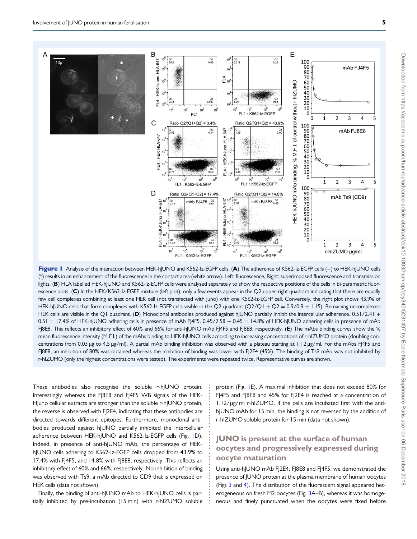<span id="page-4-0"></span>

Figure 1 Analysis of the interaction between HEK-hJUNO and K562-Iz-EGFP cells. (A) The adherence of K562-Iz-EGFP cells (+) to HEK-hJUNO cells (\*) results in an enhancement of the fluorescence in the contact area (white arrow). Left: fluorescence, Right: superimposed fluorescence and transmission lights. (B) HLA labelled HEK-hJUNO and K562-Iz-EGFP cells were analysed separately to show the respective positions of the cells in bi-parametric fluorescence plots. (C) In the HEK/K562-Iz-EGFP mixture (left plot), only a few events appear in the Q2 upper-right quadrant indicating that there are equally few cell complexes combining at least one HEK cell (not transfected with Juno) with one K562-Iz-EGFP cell. Conversely, the right plot shows 43.9% of HEK-hJUNO cells that form complexes with K562-Iz-EGFP cells visible in the Q2 quadrant  $(Q2/Q1 + Q2 = 0.9/0.9 + 1.15)$ . Remaining uncomplexed HEK cells are visible in the Q1 quadrant. (D) Monoclonal antibodies produced against hJUNO partially inhibit the intercellular adherence. 0.51/2.41 +  $0.51 = 17.4\%$  of HEK-h|UNO adhering cells in presence of mAb F|4F5.  $0.45/2.58 + 0.45 = 14.8\%$  of HEK-h|UNO adhering cells in presence of mAb FJ8E8. This reflects an inhibitory effect of 60% and 66% for anti-hJUNO mAb FJ4F5 and FJ8E8, respectively. (E) The mAbs binding curves show the % mean fluorescence intensity (M.F.I.) of the mAbs binding to HEK-hJUNO cells according to increasing concentrations of r-hIZUMO protein (doubling concentrations from 0.03 μg to 4.5 μg/ml). A partial mAb binding inhibition was observed with a plateau starting at 1.12 μg/ml. For the mAbs FJ4F5 and FJ8E8, an inhibition of 80% was obtained whereas the inhibition of binding was lower with FJ2E4 (45%). The binding of Ts9 mAb was not inhibited by r-hIZUMO (only the highest concentrations were tested). The experiments were repeated twice. Representative curves are shown.

These antibodies also recognise the soluble r-hJUNO protein. Interestingly whereas the FI8E8 and FI4F5 WB signals of the HEK-HJuno cellular extracts are stronger than the soluble r-hJUNO protein, the reverse is observed with FJ2E4, indicating that these antibodies are directed towards different epitopes. Furthermore, monoclonal antibodies produced against hJUNO partially inhibited the intercellular adherence between HEK-hJUNO and K562-Iz-EGFP cells (Fig. ID). Indeed, in presence of anti-hJUNO mAb, the percentage of HEKhJUNO cells adhering to K562-Iz-EGFP cells dropped from 43.9% to 17.4% with FJ4F5, and 14.8% with FJ8E8, respectively. This reflects an inhibitory effect of 60% and 66%, respectively. No inhibition of binding was observed with Ts9, a mAb directed to CD9 that is expressed on HEK cells (data not shown).

Finally, the binding of anti-hJUNO mAb to HEK-hJUNO cells is partially inhibited by pre-incubation (15 min) with r-hIZUMO soluble

protein (Fig. 1E). A maximal inhibition that does not exceed 80% for FI4F5 and FI8E8 and 45% for FI2E4 is reached at a concentration of 1.12/μg/ml r-hIZUMO. If the cells are incubated first with the antihJUNO mAb for 15 min, the binding is not reversed by the addition of r-hIZUMO soluble protein for 15 min (data not shown).

### JUNO is present at the surface of human oocytes and progressively expressed during oocyte maturation

Using anti-hJUNO mAb FJ2E4, FJ8E8 and FJ4F5, we demonstrated the presence of JUNO protein at the plasma membrane of human oocytes (Figs 3 and [4\)](#page-5-0). The distribution of the fluorescent signal appeared heterogeneous on fresh M2 oocytes (Fig. [3A](#page-5-0)–B), whereas it was homogeneous and finely punctuated when the oocytes were fixed before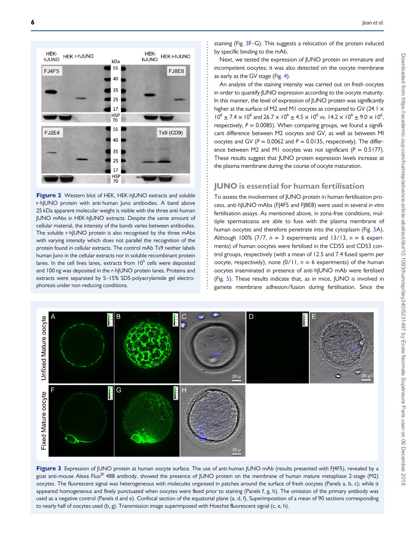<span id="page-5-0"></span>

Figure 2 Western blot of HEK, HEK-hJUNO extracts and soluble r-hJUNO protein with anti-human Juno antibodies. A band above 25 kDa apparent molecular weight is visible with the three anti-human JUNO mAbs in HEK-hJUNO extracts. Despite the same amount of cellular material, the intensity of the bands varies between antibodies. The soluble r-hJUNO protein is also recognised by the three mAbs with varying intensity which does not parallel the recognition of the protein found in cellular extracts. The control mAb Ts9 neither labels human Juno in the cellular extracts nor in soluble recombinant protein lanes. In the cell lines lanes, extracts from  $10<sup>5</sup>$  cells were deposited and 100 ng was deposited in the r-hJUNO protein lanes. Proteins and extracts were separated by 5–15% SDS-polyacrylamide gel electrophoresis under non-reducing conditions.

staining (Fig. 3F–G). This suggests a relocation of the protein induced by specific binding to the mAb.

Next, we tested the expression of JUNO protein on immature and incompetent oocytes; it was also detected on the oocyte membrane as early as the GV stage (Fig. [4](#page-6-0)).

An analysis of the staining intensity was carried out on fresh oocytes in order to quantify JUNO expression according to the oocyte maturity. In this manner, the level of expression of JUNO protein was significantly higher at the surface of M2 and M1 oocytes as compared to GV (24.1  $\times$  $10^6 \pm 7.4 \times 10^6$  and  $26.7 \times 10^6 \pm 4.5 \times 10^6$  vs.  $14.2 \times 10^6 \pm 9.0 \times 10^6$ , respectively,  $P = 0.0085$ ). When comparing groups, we found a significant difference between M2 oocytes and GV, as well as between MI oocytes and GV ( $P = 0.0062$  and  $P = 0.0135$ , respectively). The difference between M2 and M1 oocytes was not significant ( $P = 0.5177$ ). These results suggest that JUNO protein expression levels increase at the plasma membrane during the course of oocyte maturation.

#### JUNO is essential for human fertilisation

To assess the involvement of JUNO protein in human fertilisation process, anti-hJUNO mAbs (FJ4F5 and FJ8E8) were used in several in vitro fertilisation assays. As mentioned above, in zona-free conditions, multiple spermatozoa are able to fuse with the plasma membrane of human oocytes and therefore penetrate into the cytoplasm (Fig. [5](#page-7-0)A). Although 100% (7/7,  $n = 3$  experiments and 13/13,  $n = 6$  experiments) of human oocytes were fertilised in the CD55 and CD53 control groups, respectively (with a mean of 12.5 and 7.4 fused sperm per oocyte, respectively), none  $(0/11, n = 6$  experiments) of the human oocytes inseminated in presence of anti-hJUNO mAb were fertilised (Fig. [5](#page-7-0)). These results indicate that, as in mice, JUNO is involved in gamete membrane adhesion/fusion during fertilisation. Since the



Figure 3 Expression of JUNO protein at human oocyte surface. The use of anti-human JUNO mAb (results presented with FJ4F5), revealed by a goat anti-mouse Alexa Fluo<sup>®</sup> 488 antibody, showed the presence of JUNO protein on the membrane of human mature metaphase 2-stage (M2) oocytes. The fluorescent signal was heterogeneous with molecules organised in patches around the surface of fresh oocytes (Panels a, b, c); while it appeared homogeneous and finely punctuated when oocytes were fixed prior to staining (Panels f, g, h). The omission of the primary antibody was used as a negative control (Panels d and e). Confocal section of the equatorial plane (a, d, f). Superimposition of a mean of 90 sections corresponding to nearly half of oocytes used (b, g). Transmission image superimposed with Hoechst fluorescent signal (c, e, h).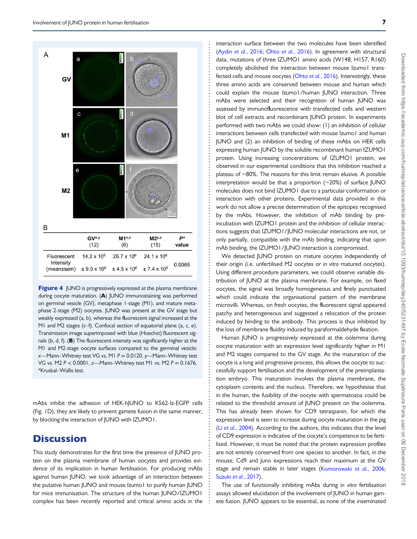

<span id="page-6-0"></span>

Figure 4 JUNO is progressively expressed at the plasma membrane during oocyte maturation. (A) JUNO immunostaining was performed on germinal vesicle (GV), metaphase 1-stage (M1), and mature metaphase 2-stage (M2) oocytes. JUNO was present at the GV stage but weakly expressed (a, b), whereas the fluorescent signal increased at the M1 and M2 stages (c–f). Confocal section of equatorial plane (a, c, e). Transmission image superimposed with blue (Hoechst) fluorescent signals (b, d, f). (B) The fluorescent intensity was significantly higher at the M1 and M2-stage oocyte surfaces compared to the germinal vesicle: x-Mann-Whitney test VG vs. M1  $P = 0.0120$ . y-Mann-Whitney test VG vs. M2 P < 0.0001. z—Mann–Whitney test M1 vs. M2 P = 0.1676. \*Kruskal–Wallis test.

mAbs inhibit the adhesion of HEK-hJUNO to K562-Iz-EGFP cells (Fig. [1D](#page-4-0)), they are likely to prevent gamete fusion in the same manner, by blocking the interaction of JUNO with IZUMO1.

### **Discussion**

This study demonstrates for the first time the presence of JUNO protein on the plasma membrane of human oocytes and provides evidence of its implication in human fertilisation. For producing mAbs against human JUNO, we took advantage of an interaction between the putative human JUNO and mouse Izumo1 to purify human JUNO for mice immunisation. The structure of the human JUNO/IZUMO1 complex has been recently reported and critical amino acids in the

interaction surface between the two molecules have been identified (Aydin et al.[, 2016;](#page-8-0) Ohto et al.[, 2016](#page-8-0)). In agreement with structural data, mutations of three IZUMO1 amino acids (W148, H157, R160) completely abolished the interaction between mouse Izumo1 transfected cells and mouse oocytes (Ohto et al.[, 2016](#page-8-0)). Interestingly, these three amino acids are conserved between mouse and human which could explain the mouse Izumo1/human JUNO interaction. Three mAbs were selected and their recognition of human JUNO was assessed by immunofluorescence with transfected cells and western blot of cell extracts and recombinant JUNO protein. In experiments performed with two mAbs we could show: (1) an inhibition of cellular interactions between cells transfected with mouse Izumo1 and human JUNO and (2) an inhibition of binding of these mAbs on HEK cells expressing human JUNO by the soluble recombinant human IZUMO1 protein. Using increasing concentrations of IZUMO1 protein, we observed in our experimental conditions that this inhibition reached a plateau of ~80%. The reasons for this limit remain elusive. A possible interpretation would be that a proportion (~20%) of surface JUNO molecules does not bind IZUMO1 due to a particular conformation or interaction with other proteins. Experimental data provided in this work do not allow a precise determination of the epitopes recognised by the mAbs. However, the inhibition of mAb binding by preincubation with IZUMO1 protein and the inhibition of cellular interactions suggests that IZUMO1/JUNO molecular interactions are not, or only partially, compatible with the mAb binding, indicating that upon mAb binding, the IZUMO1/JUNO interaction is compromised.

We detected JUNO protein on mature oocytes independently of their origin (i.e. unfertilised M2 oocytes or in vitro matured oocytes). Using different procedure parameters, we could observe variable distribution of JUNO at the plasma membrane. For example, on fixed oocytes, the signal was broadly homogeneous and finely punctuated which could indicate the organisational pattern of the membrane microvilli. Whereas, on fresh oocytes, the fluorescent signal appeared patchy and heterogeneous and suggested a relocation of the protein induced by binding to the antibody. This process is thus inhibited by the loss of membrane fluidity induced by paraformaldehyde fixation.

Human JUNO is progressively expressed at the oolemma during oocyte maturation with an expression level significantly higher in M1 and M2 stages compared to the GV stage. As the maturation of the oocyte is a long and progressive process, this allows the oocyte to successfully support fertilisation and the development of the preimplantation embryo. This maturation involves the plasma membrane, the cytoplasm contents and the nucleus. Therefore, we hypothesise that in the human, the fusibility of the oocyte with spermatozoa could be related to the threshold amount of JUNO present on the oolemma. This has already been shown for CD9 tetraspanin, for which the expression level is seen to increase during oocyte maturation in the pig (Li et al.[, 2004](#page-8-0)). According to the authors, this indicates that the level of CD9 expression is indicative of the oocyte's competence to be fertilised. However, it must be noted that the protein expression profiles are not entirely conserved from one species to another. In fact, in the mouse, Cd9 and Juno expressions reach their maximum at the GV stage and remain stable in later stages [\(Komorowski](#page-8-0) et al., 2006; Suzuki et al.[, 2017\)](#page-8-0).

The use of functionally inhibiting mAbs during in vitro fertilisation assays allowed elucidation of the involvement of JUNO in human gamete fusion. JUNO appears to be essential, as none of the inseminated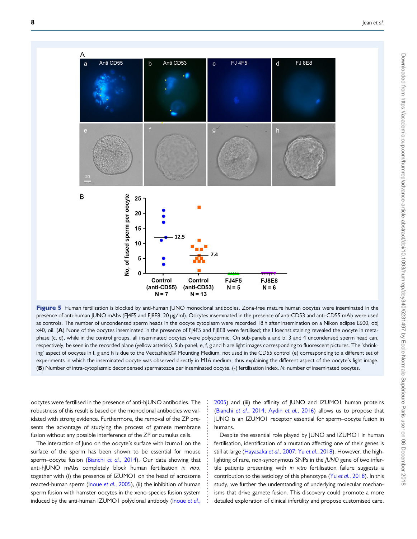<span id="page-7-0"></span>

Figure 5 Human fertilisation is blocked by anti-human JUNO monoclonal antibodies. Zona-free mature human oocytes were inseminated in the presence of anti-human JUNO mAbs (FJ4F5 and FJ8E8, 20 μg/ml). Oocytes inseminated in the presence of anti-CD53 and anti-CD55 mAb were used as controls. The number of uncondensed sperm heads in the oocyte cytoplasm were recorded 18 h after insemination on a Nikon eclipse E600, obj x40, oil. (A) None of the oocytes inseminated in the presence of FJ4F5 and FJ8E8 were fertilised; the Hoechst staining revealed the oocyte in metaphase (c, d), while in the control groups, all inseminated oocytes were polyspermic. On sub-panels a and b, 3 and 4 uncondensed sperm head can, respectively, be seen in the recorded plane (yellow asterisk). Sub-panel, e, f, g and h are light images corresponding to fluorescent pictures. The 'shrinking' aspect of oocytes in f, g and h is due to the Vectashield© Mounting Medium, not used in the CD55 control (e) corresponding to a different set of experiments in which the inseminated oocyte was observed directly in M16 medium, thus explaining the different aspect of the oocyte's light image. (B) Number of intra-cytoplasmic decondensed spermatozoa per inseminated oocyte. (-) fertilisation index. N: number of inseminated oocytes.

oocytes were fertilised in the presence of anti-hJUNO antibodies. The robustness of this result is based on the monoclonal antibodies we validated with strong evidence. Furthermore, the removal of the ZP presents the advantage of studying the process of gamete membrane fusion without any possible interference of the ZP or cumulus cells.

The interaction of Juno on the oocyte's surface with Izumol on the surface of the sperm has been shown to be essential for mouse sperm–oocyte fusion ([Bianchi](#page-8-0) et al., 2014). Our data showing that anti-hJUNO mAbs completely block human fertilisation in vitro, together with (i) the presence of IZUMO1 on the head of acrosome reacted-human sperm (Inoue et al.[, 2005](#page-8-0)), (ii) the inhibition of human sperm fusion with hamster oocytes in the xeno-species fusion system induced by the anti-human IZUMO1 polyclonal antibody [\(Inoue](#page-8-0) et al.,

[2005\)](#page-8-0) and (iii) the affinity of JUNO and IZUMO1 human proteins ([Bianchi](#page-8-0) et al., 2014; Aydin et al.[, 2016](#page-8-0)) allows us to propose that JUNO is an IZUMO1 receptor essential for sperm–oocyte fusion in humans.

Despite the essential role played by JUNO and IZUMO1 in human fertilisation, identification of a mutation affecting one of their genes is still at large [\(Hayasaka](#page-8-0) et al., 2007; Yu et al.[, 2018](#page-8-0)). However, the highlighting of rare, non-synonymous SNPs in the JUNO gene of two infertile patients presenting with in vitro fertilisation failure suggests a contribution to the aetiology of this phenotype (Yu et al.[, 2018\)](#page-8-0). In this study, we further the understanding of underlying molecular mechanisms that drive gamete fusion. This discovery could promote a more detailed exploration of clinical infertility and propose customised care.